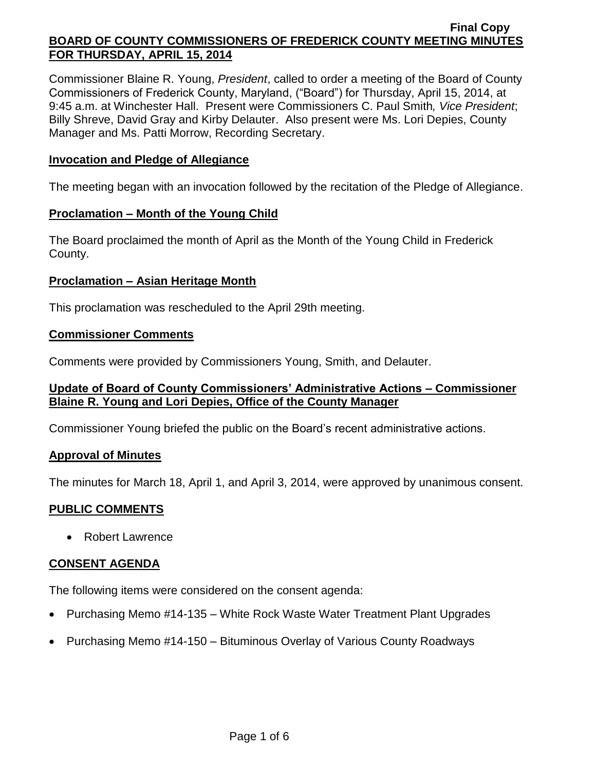Commissioner Blaine R. Young, *President*, called to order a meeting of the Board of County Commissioners of Frederick County, Maryland, ("Board") for Thursday, April 15, 2014, at 9:45 a.m. at Winchester Hall. Present were Commissioners C. Paul Smith*, Vice President*; Billy Shreve, David Gray and Kirby Delauter. Also present were Ms. Lori Depies, County Manager and Ms. Patti Morrow, Recording Secretary.

### **Invocation and Pledge of Allegiance**

The meeting began with an invocation followed by the recitation of the Pledge of Allegiance.

#### **Proclamation – Month of the Young Child**

The Board proclaimed the month of April as the Month of the Young Child in Frederick County.

### **Proclamation – Asian Heritage Month**

This proclamation was rescheduled to the April 29th meeting.

### **Commissioner Comments**

Comments were provided by Commissioners Young, Smith, and Delauter.

## **Update of Board of County Commissioners' Administrative Actions – Commissioner Blaine R. Young and Lori Depies, Office of the County Manager**

Commissioner Young briefed the public on the Board's recent administrative actions.

#### **Approval of Minutes**

The minutes for March 18, April 1, and April 3, 2014, were approved by unanimous consent.

## **PUBLIC COMMENTS**

• Robert Lawrence

## **CONSENT AGENDA**

The following items were considered on the consent agenda:

- Purchasing Memo #14-135 White Rock Waste Water Treatment Plant Upgrades
- Purchasing Memo #14-150 Bituminous Overlay of Various County Roadways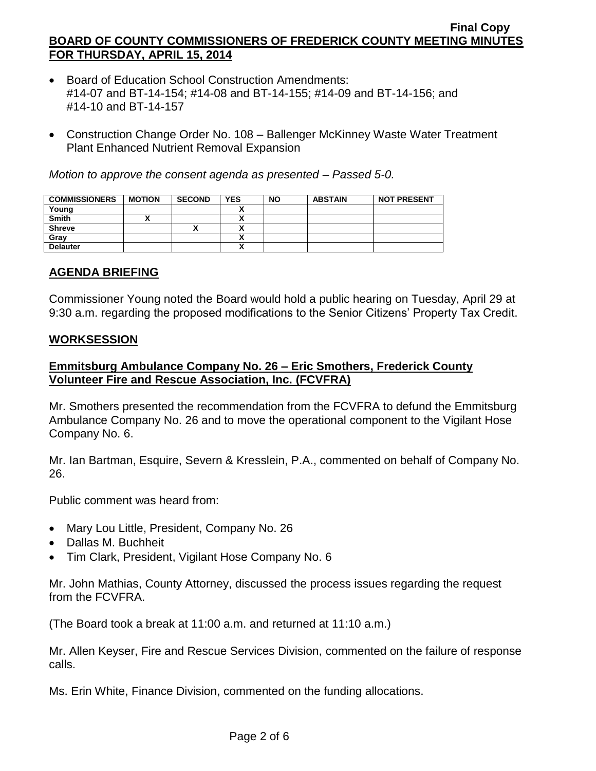- Board of Education School Construction Amendments: #14-07 and BT-14-154; #14-08 and BT-14-155; #14-09 and BT-14-156; and #14-10 and BT-14-157
- Construction Change Order No. 108 Ballenger McKinney Waste Water Treatment Plant Enhanced Nutrient Removal Expansion

*Motion to approve the consent agenda as presented – Passed 5-0.*

| <b>COMMISSIONERS</b> | <b>MOTION</b> | <b>SECOND</b> | <b>YES</b> | <b>NO</b> | <b>ABSTAIN</b> | <b>NOT PRESENT</b> |
|----------------------|---------------|---------------|------------|-----------|----------------|--------------------|
| Young                |               |               |            |           |                |                    |
| <b>Smith</b>         |               |               |            |           |                |                    |
| <b>Shreve</b>        |               |               |            |           |                |                    |
| Gray                 |               |               |            |           |                |                    |
| <b>Delauter</b>      |               |               |            |           |                |                    |

# **AGENDA BRIEFING**

Commissioner Young noted the Board would hold a public hearing on Tuesday, April 29 at 9:30 a.m. regarding the proposed modifications to the Senior Citizens' Property Tax Credit.

## **WORKSESSION**

# **Emmitsburg Ambulance Company No. 26 – Eric Smothers, Frederick County Volunteer Fire and Rescue Association, Inc. (FCVFRA)**

Mr. Smothers presented the recommendation from the FCVFRA to defund the Emmitsburg Ambulance Company No. 26 and to move the operational component to the Vigilant Hose Company No. 6.

Mr. Ian Bartman, Esquire, Severn & Kresslein, P.A., commented on behalf of Company No. 26.

Public comment was heard from:

- Mary Lou Little, President, Company No. 26
- Dallas M. Buchheit
- Tim Clark, President, Vigilant Hose Company No. 6

Mr. John Mathias, County Attorney, discussed the process issues regarding the request from the FCVFRA.

(The Board took a break at 11:00 a.m. and returned at 11:10 a.m.)

Mr. Allen Keyser, Fire and Rescue Services Division, commented on the failure of response calls.

Ms. Erin White, Finance Division, commented on the funding allocations.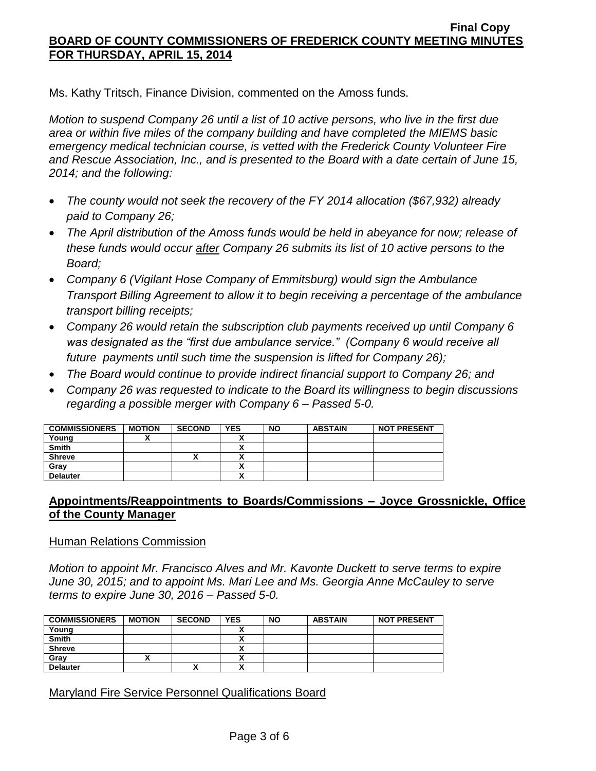Ms. Kathy Tritsch, Finance Division, commented on the Amoss funds.

*Motion to suspend Company 26 until a list of 10 active persons, who live in the first due area or within five miles of the company building and have completed the MIEMS basic emergency medical technician course, is vetted with the Frederick County Volunteer Fire and Rescue Association, Inc., and is presented to the Board with a date certain of June 15, 2014; and the following:*

- *The county would not seek the recovery of the FY 2014 allocation (\$67,932) already paid to Company 26;*
- *The April distribution of the Amoss funds would be held in abeyance for now; release of these funds would occur after Company 26 submits its list of 10 active persons to the Board;*
- *Company 6 (Vigilant Hose Company of Emmitsburg) would sign the Ambulance Transport Billing Agreement to allow it to begin receiving a percentage of the ambulance transport billing receipts;*
- *Company 26 would retain the subscription club payments received up until Company 6 was designated as the "first due ambulance service." (Company 6 would receive all future payments until such time the suspension is lifted for Company 26);*
- *The Board would continue to provide indirect financial support to Company 26; and*
- *Company 26 was requested to indicate to the Board its willingness to begin discussions regarding a possible merger with Company 6 – Passed 5-0.*

| <b>COMMISSIONERS</b> | <b>MOTION</b> | <b>SECOND</b> | <b>YES</b>               | <b>NO</b> | <b>ABSTAIN</b> | <b>NOT PRESENT</b> |
|----------------------|---------------|---------------|--------------------------|-----------|----------------|--------------------|
| Young                |               |               |                          |           |                |                    |
| <b>Smith</b>         |               |               | $\overline{\phantom{a}}$ |           |                |                    |
| <b>Shreve</b>        |               | "             | $\overline{\phantom{a}}$ |           |                |                    |
| Gray                 |               |               |                          |           |                |                    |
| <b>Delauter</b>      |               |               |                          |           |                |                    |

## **Appointments/Reappointments to Boards/Commissions – Joyce Grossnickle, Office of the County Manager**

#### Human Relations Commission

*Motion to appoint Mr. Francisco Alves and Mr. Kavonte Duckett to serve terms to expire June 30, 2015; and to appoint Ms. Mari Lee and Ms. Georgia Anne McCauley to serve terms to expire June 30, 2016 – Passed 5-0.*

| <b>COMMISSIONERS</b> | <b>MOTION</b> | <b>SECOND</b> | <b>YES</b>             | <b>NO</b> | <b>ABSTAIN</b> | <b>NOT PRESENT</b> |
|----------------------|---------------|---------------|------------------------|-----------|----------------|--------------------|
| Young                |               |               |                        |           |                |                    |
| <b>Smith</b>         |               |               |                        |           |                |                    |
| <b>Shreve</b>        |               |               |                        |           |                |                    |
| Gray                 |               |               |                        |           |                |                    |
| <b>Delauter</b>      |               | Λ             | $\mathbf{\mathcal{L}}$ |           |                |                    |

## Maryland Fire Service Personnel Qualifications Board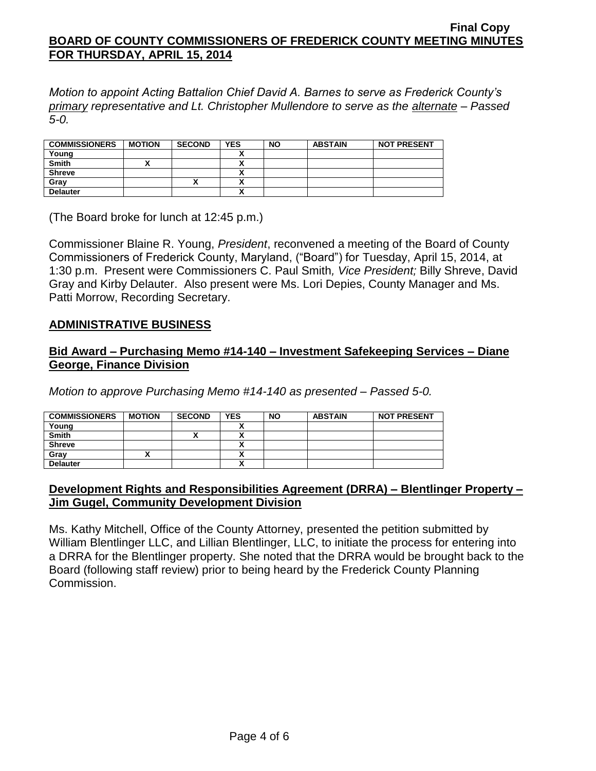*Motion to appoint Acting Battalion Chief David A. Barnes to serve as Frederick County's primary representative and Lt. Christopher Mullendore to serve as the alternate – Passed 5-0.*

| <b>COMMISSIONERS</b> | <b>MOTION</b> | <b>SECOND</b> | <b>YES</b> | <b>NO</b> | <b>ABSTAIN</b> | <b>NOT PRESENT</b> |
|----------------------|---------------|---------------|------------|-----------|----------------|--------------------|
| Young                |               |               |            |           |                |                    |
| <b>Smith</b>         |               |               |            |           |                |                    |
| <b>Shreve</b>        |               |               |            |           |                |                    |
| Grav                 |               |               |            |           |                |                    |
| <b>Delauter</b>      |               |               | n          |           |                |                    |

(The Board broke for lunch at 12:45 p.m.)

Commissioner Blaine R. Young, *President*, reconvened a meeting of the Board of County Commissioners of Frederick County, Maryland, ("Board") for Tuesday, April 15, 2014, at 1:30 p.m. Present were Commissioners C. Paul Smith*, Vice President;* Billy Shreve, David Gray and Kirby Delauter. Also present were Ms. Lori Depies, County Manager and Ms. Patti Morrow, Recording Secretary.

### **ADMINISTRATIVE BUSINESS**

### **Bid Award – Purchasing Memo #14-140 – Investment Safekeeping Services – Diane George, Finance Division**

*Motion to approve Purchasing Memo #14-140 as presented – Passed 5-0.*

| <b>COMMISSIONERS</b> | <b>MOTION</b> | <b>SECOND</b> | <b>YES</b> | <b>NO</b> | <b>ABSTAIN</b> | <b>NOT PRESENT</b> |
|----------------------|---------------|---------------|------------|-----------|----------------|--------------------|
| Young                |               |               |            |           |                |                    |
| <b>Smith</b>         |               |               | v          |           |                |                    |
| <b>Shreve</b>        |               |               | v          |           |                |                    |
| Gray                 |               |               |            |           |                |                    |
| <b>Delauter</b>      |               |               |            |           |                |                    |

## **Development Rights and Responsibilities Agreement (DRRA) – Blentlinger Property – Jim Gugel, Community Development Division**

Ms. Kathy Mitchell, Office of the County Attorney, presented the petition submitted by William Blentlinger LLC, and Lillian Blentlinger, LLC, to initiate the process for entering into a DRRA for the Blentlinger property. She noted that the DRRA would be brought back to the Board (following staff review) prior to being heard by the Frederick County Planning Commission.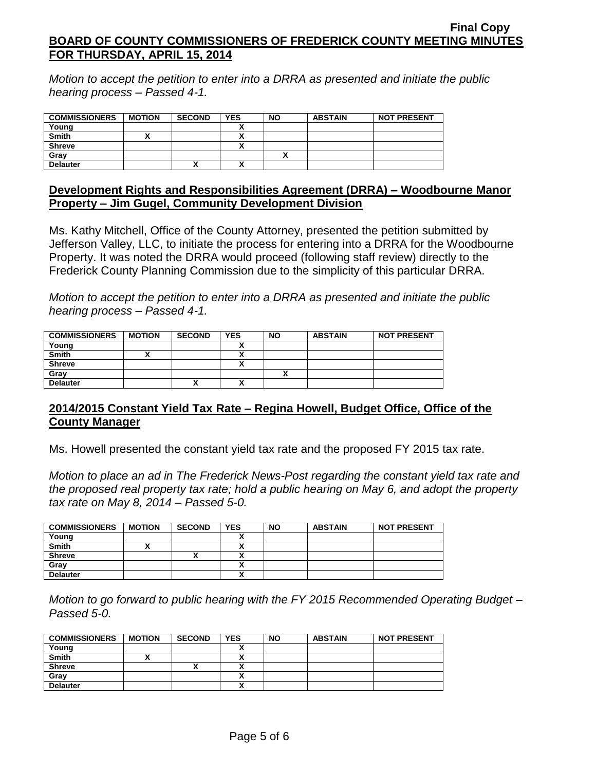*Motion to accept the petition to enter into a DRRA as presented and initiate the public hearing process – Passed 4-1.*

| <b>COMMISSIONERS</b> | <b>MOTION</b> | <b>SECOND</b> | <b>YES</b> | <b>NO</b> | <b>ABSTAIN</b> | <b>NOT PRESENT</b> |
|----------------------|---------------|---------------|------------|-----------|----------------|--------------------|
| Young                |               |               |            |           |                |                    |
| <b>Smith</b>         |               |               |            |           |                |                    |
| <b>Shreve</b>        |               |               |            |           |                |                    |
| Grav                 |               |               |            |           |                |                    |
| <b>Delauter</b>      |               | $\mathbf{v}$  | ~          |           |                |                    |

#### **Development Rights and Responsibilities Agreement (DRRA) – Woodbourne Manor Property – Jim Gugel, Community Development Division**

Ms. Kathy Mitchell, Office of the County Attorney, presented the petition submitted by Jefferson Valley, LLC, to initiate the process for entering into a DRRA for the Woodbourne Property. It was noted the DRRA would proceed (following staff review) directly to the Frederick County Planning Commission due to the simplicity of this particular DRRA.

*Motion to accept the petition to enter into a DRRA as presented and initiate the public hearing process – Passed 4-1.*

| <b>COMMISSIONERS</b> | <b>MOTION</b> | <b>SECOND</b> | <b>YES</b> | <b>NO</b> | <b>ABSTAIN</b> | <b>NOT PRESENT</b> |
|----------------------|---------------|---------------|------------|-----------|----------------|--------------------|
| Young                |               |               |            |           |                |                    |
| <b>Smith</b>         |               |               |            |           |                |                    |
| <b>Shreve</b>        |               |               | v          |           |                |                    |
| Grav                 |               |               |            |           |                |                    |
| <b>Delauter</b>      |               | Λ             | v          |           |                |                    |

## **2014/2015 Constant Yield Tax Rate – Regina Howell, Budget Office, Office of the County Manager**

Ms. Howell presented the constant yield tax rate and the proposed FY 2015 tax rate.

*Motion to place an ad in The Frederick News-Post regarding the constant yield tax rate and the proposed real property tax rate; hold a public hearing on May 6, and adopt the property tax rate on May 8, 2014 – Passed 5-0.*

| <b>COMMISSIONERS</b> | <b>MOTION</b> | <b>SECOND</b> | <b>YES</b>           | <b>NO</b> | <b>ABSTAIN</b> | <b>NOT PRESENT</b> |
|----------------------|---------------|---------------|----------------------|-----------|----------------|--------------------|
| Young                |               |               |                      |           |                |                    |
| <b>Smith</b>         |               |               | ~                    |           |                |                    |
| <b>Shreve</b>        |               |               |                      |           |                |                    |
| Gray                 |               |               |                      |           |                |                    |
| <b>Delauter</b>      |               |               | $\ddot{\phantom{1}}$ |           |                |                    |

*Motion to go forward to public hearing with the FY 2015 Recommended Operating Budget – Passed 5-0.*

| <b>COMMISSIONERS</b> | <b>MOTION</b> | <b>SECOND</b> | <b>YES</b>               | <b>NO</b> | <b>ABSTAIN</b> | <b>NOT PRESENT</b> |
|----------------------|---------------|---------------|--------------------------|-----------|----------------|--------------------|
| Young                |               |               |                          |           |                |                    |
| <b>Smith</b>         |               |               |                          |           |                |                    |
| <b>Shreve</b>        |               |               |                          |           |                |                    |
| Grav                 |               |               |                          |           |                |                    |
| <b>Delauter</b>      |               |               | $\overline{\phantom{a}}$ |           |                |                    |